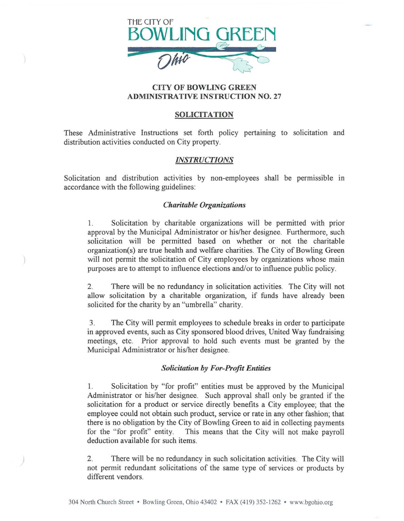

## CITY OF BOWLING GREEN ADMINISTRATIVE INSTRUCTION NO. 27

## SOLICITATION

These Administrative Instructions set forth policy pertaining to solicitation and distribution activities conducted on City property.

# *INSTRUCTIONS*

Solicitation and distribution activities by non-employees shall be permissible in accordance with the following guidelines:

## *Charitable Organizations*

1. Solicitation by charitable organizations will be permitted with prior approval by the Municipal Administrator or his/her designee. Furthermore, such solicitation will be permitted based on whether or not the charitable organization(s) are true health and welfare charities. The City of Bowling Green will not permit the solicitation of City employees by organizations whose main purposes are to attempt to influence elections and/or to influence public policy.

2. There will be no redundancy in solicitation activities. The City will not allow solicitation by a charitable organization, if funds have already been solicited for the charity by an "umbrella" charity.

3. The City will permit employees to schedule breaks in order to participate in approved events, such as City sponsored blood drives, United Way fundraising meetings, etc. Prior approval to hold such events must be granted by the Municipal Administrator or his/her designee.

#### *Solicitation by For-Profit Entities*

1. Solicitation by "for profit" entities must be approved by the Municipal Administrator or his/her designee. Such approval shall only be granted if the solicitation for a product or service directly benefits a City employee; that the employee could not obtain such product, service or rate in any other fashion; that there is no obligation by the City of Bowling Green to aid in collecting payments for the "for profit" entity. This means that the City will not make payroll This means that the City will not make payroll deduction available for such items.

2. There will be no redundancy in such solicitation activities. The City will not permit redundant solicitations of the same type of services or products by different vendors.